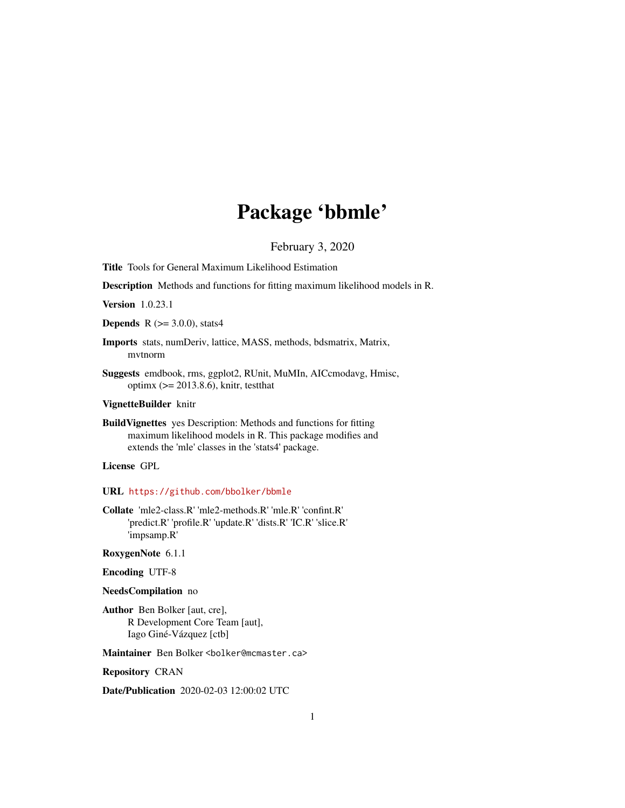# Package 'bbmle'

February 3, 2020

<span id="page-0-0"></span>Title Tools for General Maximum Likelihood Estimation

Description Methods and functions for fitting maximum likelihood models in R.

Version 1.0.23.1

**Depends** R  $(>= 3.0.0)$ , stats4

- Imports stats, numDeriv, lattice, MASS, methods, bdsmatrix, Matrix, mvtnorm
- Suggests emdbook, rms, ggplot2, RUnit, MuMIn, AICcmodavg, Hmisc, optimx (>= 2013.8.6), knitr, testthat

# VignetteBuilder knitr

BuildVignettes yes Description: Methods and functions for fitting maximum likelihood models in R. This package modifies and extends the 'mle' classes in the 'stats4' package.

License GPL

#### URL <https://github.com/bbolker/bbmle>

Collate 'mle2-class.R' 'mle2-methods.R' 'mle.R' 'confint.R' 'predict.R' 'profile.R' 'update.R' 'dists.R' 'IC.R' 'slice.R' 'impsamp.R'

RoxygenNote 6.1.1

Encoding UTF-8

# NeedsCompilation no

Author Ben Bolker [aut, cre], R Development Core Team [aut], Iago Giné-Vázquez [ctb]

Maintainer Ben Bolker <bolker@mcmaster.ca>

Repository CRAN

Date/Publication 2020-02-03 12:00:02 UTC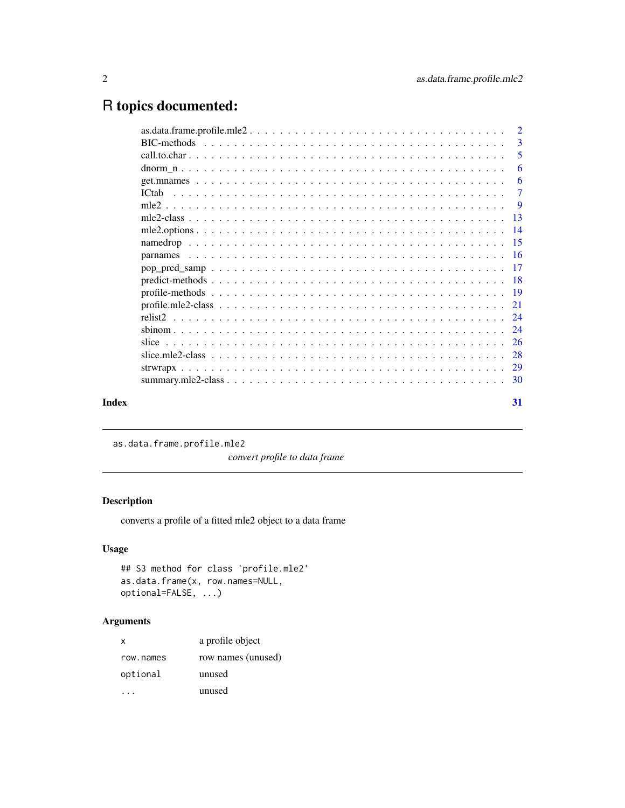# <span id="page-1-0"></span>R topics documented:

|                   | $\overline{2}$ |
|-------------------|----------------|
|                   | $\mathcal{R}$  |
|                   | 5              |
|                   | 6              |
|                   | -6             |
| IC <sub>tab</sub> | $\overline{7}$ |
|                   | $\overline{9}$ |
|                   |                |
|                   |                |
|                   |                |
|                   |                |
|                   |                |
|                   |                |
|                   |                |
|                   |                |
|                   |                |
|                   |                |
|                   |                |
|                   |                |
|                   |                |
|                   |                |
|                   | 31             |
|                   |                |

as.data.frame.profile.mle2

*convert profile to data frame*

# Description

converts a profile of a fitted mle2 object to a data frame

# Usage

```
## S3 method for class 'profile.mle2'
as.data.frame(x, row.names=NULL,
optional=FALSE, ...)
```
# Arguments

| X         | a profile object   |
|-----------|--------------------|
| row.names | row names (unused) |
| optional  | unused             |
|           | unused             |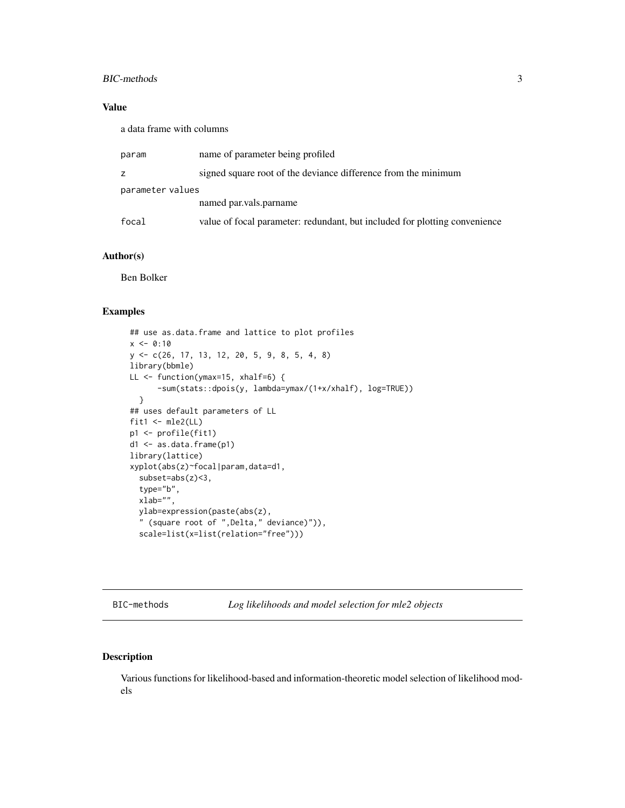#### <span id="page-2-0"></span>BIC-methods 3

# Value

a data frame with columns

| param            | name of parameter being profiled                                           |
|------------------|----------------------------------------------------------------------------|
| z                | signed square root of the deviance difference from the minimum             |
| parameter values |                                                                            |
|                  | named par. vals. par name                                                  |
| focal            | value of focal parameter: redundant, but included for plotting convenience |

### Author(s)

Ben Bolker

#### Examples

```
## use as.data.frame and lattice to plot profiles
x \le -0:10y <- c(26, 17, 13, 12, 20, 5, 9, 8, 5, 4, 8)
library(bbmle)
LL <- function(ymax=15, xhalf=6) {
      -sum(stats::dpois(y, lambda=ymax/(1+x/xhalf), log=TRUE))
 }
## uses default parameters of LL
fit1 <- mle2(LL)
p1 <- profile(fit1)
d1 <- as.data.frame(p1)
library(lattice)
xyplot(abs(z)~focal|param,data=d1,
  subset=abs(z)<3,
  type="b",
  xlab="",
 ylab=expression(paste(abs(z),
  " (square root of ",Delta," deviance)")),
  scale=list(x=list(relation="free")))
```
BIC-methods *Log likelihoods and model selection for mle2 objects*

# Description

Various functions for likelihood-based and information-theoretic model selection of likelihood models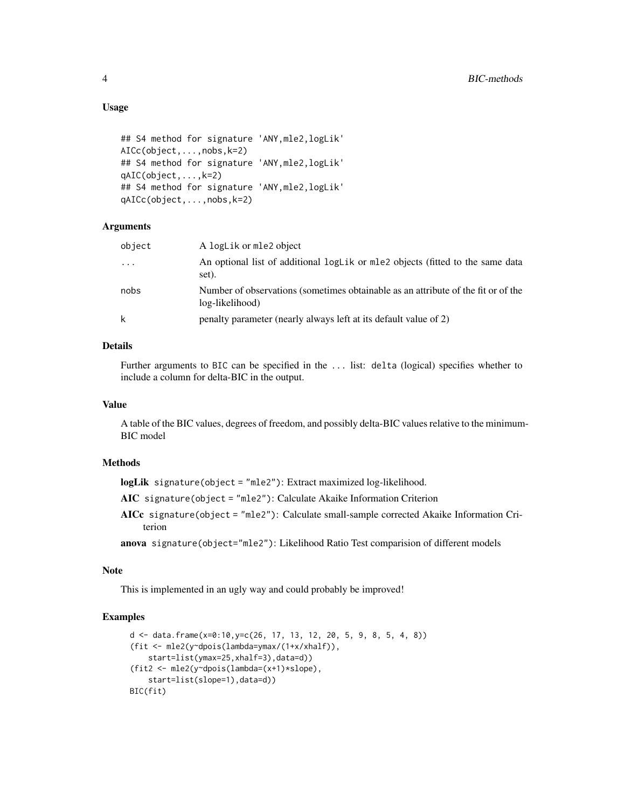# Usage

```
## S4 method for signature 'ANY,mle2,logLik'
AICc(object,...,nobs,k=2)
## S4 method for signature 'ANY,mle2,logLik'
qAIC(object,...,k=2)
## S4 method for signature 'ANY,mle2,logLik'
qAICc(object,...,nobs,k=2)
```
#### Arguments

| An optional list of additional logLik or mle2 objects (fitted to the same data<br>$\cdots$                   |  |
|--------------------------------------------------------------------------------------------------------------|--|
| set).                                                                                                        |  |
| Number of observations (sometimes obtainable as an attribute of the fit or of the<br>nobs<br>log-likelihood) |  |
| k<br>penalty parameter (nearly always left at its default value of 2)                                        |  |

#### Details

Further arguments to BIC can be specified in the ... list: delta (logical) specifies whether to include a column for delta-BIC in the output.

# Value

A table of the BIC values, degrees of freedom, and possibly delta-BIC values relative to the minimum-BIC model

#### Methods

logLik signature(object = "mle2"): Extract maximized log-likelihood.

AIC signature(object = "mle2"): Calculate Akaike Information Criterion

AICc signature(object = "mle2"): Calculate small-sample corrected Akaike Information Criterion

anova signature(object="mle2"): Likelihood Ratio Test comparision of different models

#### Note

This is implemented in an ugly way and could probably be improved!

```
d \leq - data.frame(x=0:10,y=c(26, 17, 13, 12, 20, 5, 9, 8, 5, 4, 8))
(fit <- mle2(y~dpois(lambda=ymax/(1+x/xhalf)),
    start=list(ymax=25,xhalf=3),data=d))
(fit2 <- mle2(y~dpois(lambda=(x+1)*slope),
    start=list(slope=1),data=d))
BIC(fit)
```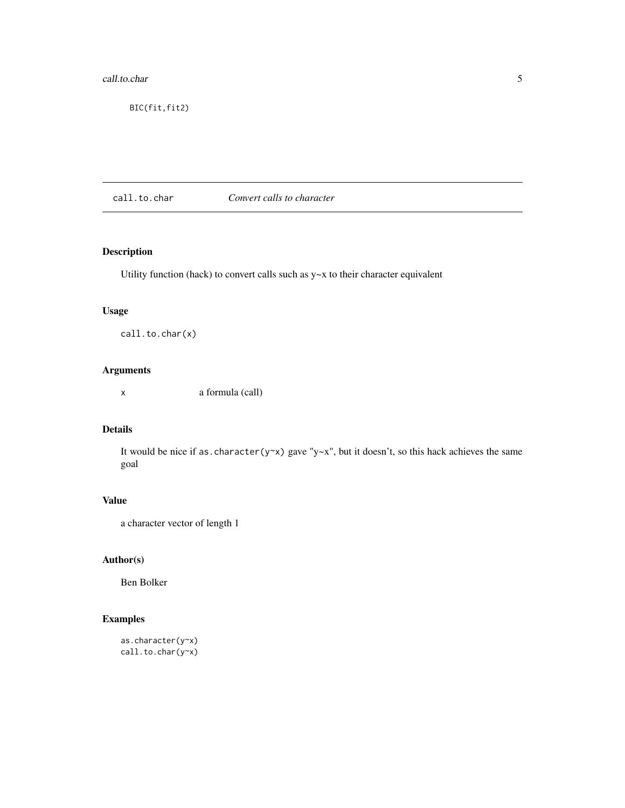#### <span id="page-4-0"></span>call.to.char 5

BIC(fit,fit2)

call.to.char *Convert calls to character*

# Description

Utility function (hack) to convert calls such as y~x to their character equivalent

# Usage

call.to.char(x)

# Arguments

x a formula (call)

# Details

It would be nice if as.character(y~x) gave "y~x", but it doesn't, so this hack achieves the same goal

# Value

a character vector of length 1

### Author(s)

Ben Bolker

```
as.character(y~x)
call.to.char(y~x)
```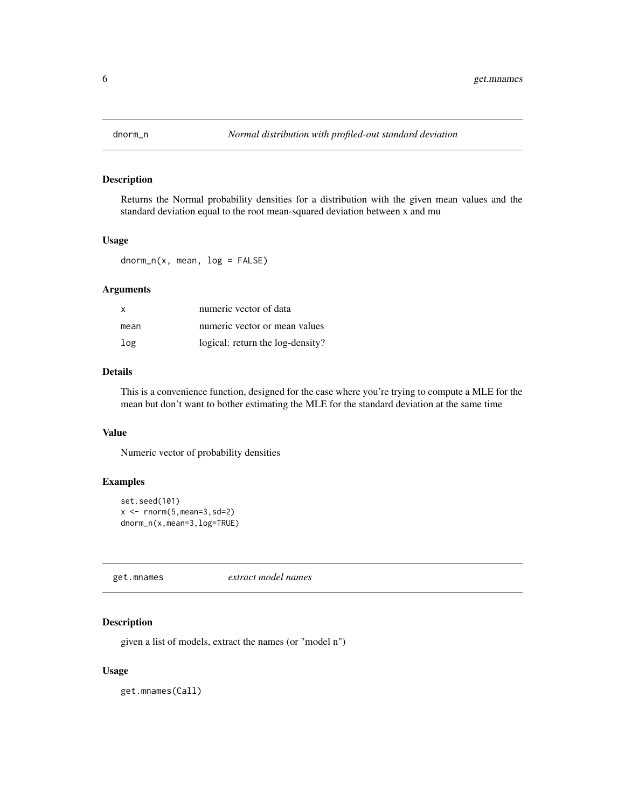<span id="page-5-0"></span>

Returns the Normal probability densities for a distribution with the given mean values and the standard deviation equal to the root mean-squared deviation between x and mu

## Usage

 $dnorm_n(x, mean, log = FALSE)$ 

### Arguments

| <b>X</b> | numeric vector of data           |
|----------|----------------------------------|
| mean     | numeric vector or mean values    |
| log      | logical: return the log-density? |

### Details

This is a convenience function, designed for the case where you're trying to compute a MLE for the mean but don't want to bother estimating the MLE for the standard deviation at the same time

# Value

Numeric vector of probability densities

# Examples

```
set.seed(101)
x \leftarrow \text{rnorm}(5, \text{mean}=3, \text{sd}=2)dnorm_n(x,mean=3,log=TRUE)
```
get.mnames *extract model names*

# Description

given a list of models, extract the names (or "model n")

#### Usage

get.mnames(Call)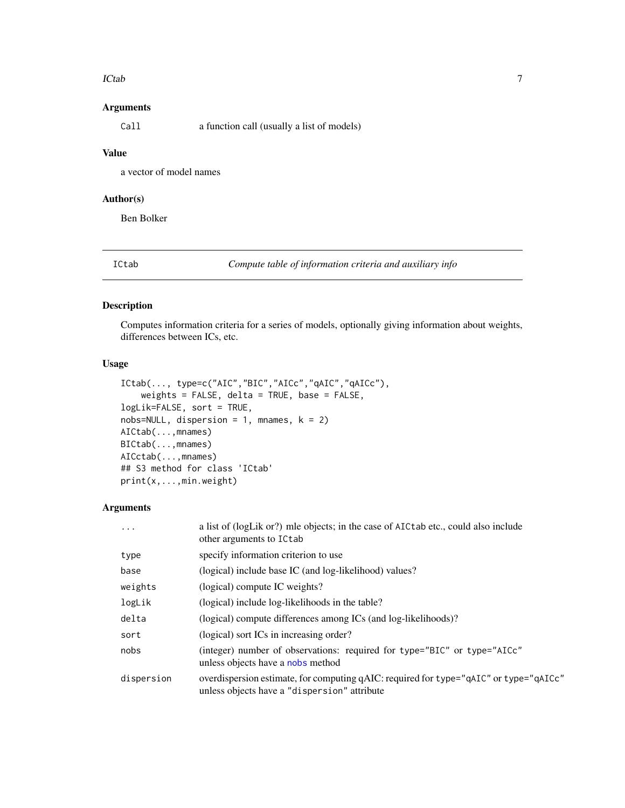#### <span id="page-6-0"></span>ICtab 7

# Arguments

Call a function call (usually a list of models)

### Value

a vector of model names

#### Author(s)

Ben Bolker

ICtab *Compute table of information criteria and auxiliary info*

# Description

Computes information criteria for a series of models, optionally giving information about weights, differences between ICs, etc.

# Usage

```
ICtab(..., type=c("AIC","BIC","AICc","qAIC","qAICc"),
   weights = FALSE, delta = TRUE, base = FALSE,
logLik=FALSE, sort = TRUE,
nobs=NULL, dispersion = 1, mnames, k = 2)
AICtab(...,mnames)
BICtab(...,mnames)
AICctab(...,mnames)
## S3 method for class 'ICtab'
print(x,...,min.weight)
```
# Arguments

| .          | a list of (logLik or?) mle objects; in the case of AICtab etc., could also include<br>other arguments to ICtab                        |
|------------|---------------------------------------------------------------------------------------------------------------------------------------|
| type       | specify information criterion to use                                                                                                  |
| base       | (logical) include base IC (and log-likelihood) values?                                                                                |
| weights    | (logical) compute IC weights?                                                                                                         |
| logLik     | (logical) include log-likelihoods in the table?                                                                                       |
| delta      | (logical) compute differences among ICs (and log-likelihoods)?                                                                        |
| sort       | (logical) sort ICs in increasing order?                                                                                               |
| nobs       | (integer) number of observations: required for type="BIC" or type="AICc"<br>unless objects have a nobs method                         |
| dispersion | overdispersion estimate, for computing qAIC: required for type="qAIC" or type="qAICc"<br>unless objects have a "dispersion" attribute |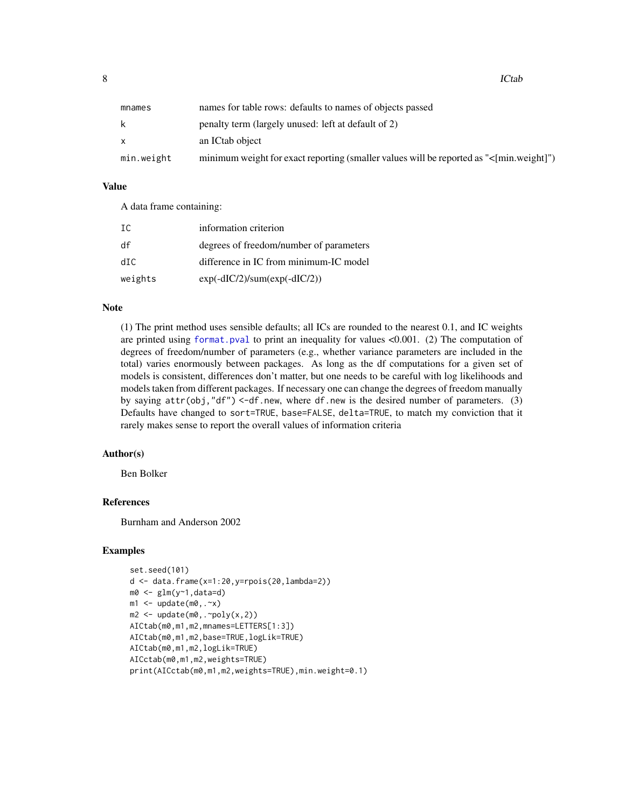<span id="page-7-0"></span>8 and 10 and 10 and 10 and 10 and 10 and 10 and 10 and 10 and 10 and 10 and 10 and 10 and 10 and 10 and 10 and 10 and 10 and 10 and 10 and 10 and 10 and 10 and 10 and 10 and 10 and 10 and 10 and 10 and 10 and 10 and 10 and

| mnames     | names for table rows: defaults to names of objects passed                               |
|------------|-----------------------------------------------------------------------------------------|
|            | penalty term (largely unused: left at default of 2)                                     |
|            | an ICtab object                                                                         |
| min.weight | minimum weight for exact reporting (smaller values will be reported as "<[min.weight]") |

# Value

A data frame containing:

| - TC    | information criterion                   |
|---------|-----------------------------------------|
| df      | degrees of freedom/number of parameters |
| dTC.    | difference in IC from minimum-IC model  |
| weights | $exp(-dIC/2)/sum(exp(-dIC/2))$          |

#### **Note**

(1) The print method uses sensible defaults; all ICs are rounded to the nearest 0.1, and IC weights are printed using [format.pval](#page-0-0) to print an inequality for values <0.001. (2) The computation of degrees of freedom/number of parameters (e.g., whether variance parameters are included in the total) varies enormously between packages. As long as the df computations for a given set of models is consistent, differences don't matter, but one needs to be careful with log likelihoods and models taken from different packages. If necessary one can change the degrees of freedom manually by saying  $attr(obj, "df") < -df.new$ , where df.new is the desired number of parameters. (3) Defaults have changed to sort=TRUE, base=FALSE, delta=TRUE, to match my conviction that it rarely makes sense to report the overall values of information criteria

# Author(s)

Ben Bolker

# References

Burnham and Anderson 2002

```
set.seed(101)
d \leq data.frame(x=1:20,y=rpois(20,lambda=2))
m0 \leq -g \ln(y \sim 1, \text{data}=d)m1 \leq update(m0, .\infty)
m2 \leq update(m0, \simpoly(x,2))
AICtab(m0,m1,m2,mnames=LETTERS[1:3])
AICtab(m0,m1,m2,base=TRUE,logLik=TRUE)
AICtab(m0,m1,m2,logLik=TRUE)
AICctab(m0,m1,m2,weights=TRUE)
print(AICctab(m0,m1,m2,weights=TRUE),min.weight=0.1)
```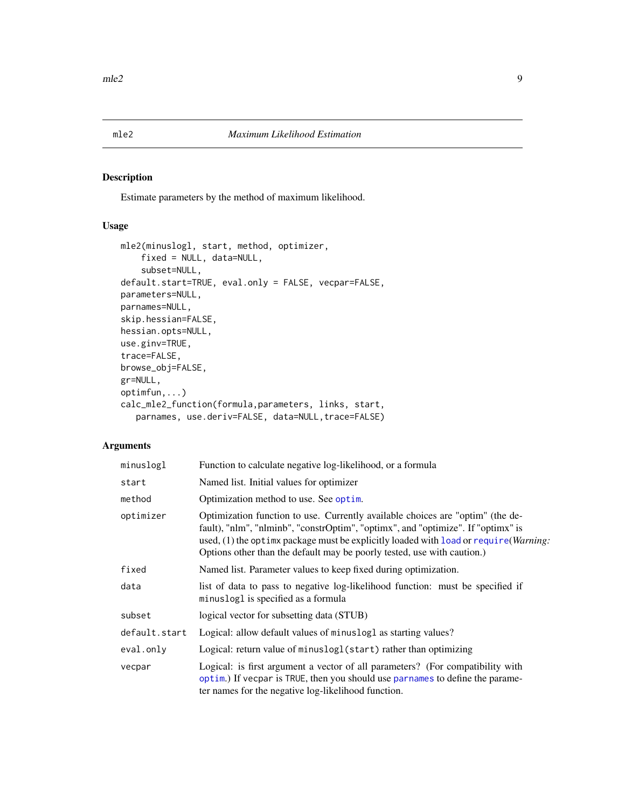<span id="page-8-1"></span><span id="page-8-0"></span>Estimate parameters by the method of maximum likelihood.

# Usage

```
mle2(minuslogl, start, method, optimizer,
    fixed = NULL, data=NULL,
    subset=NULL,
default.start=TRUE, eval.only = FALSE, vecpar=FALSE,
parameters=NULL,
parnames=NULL,
skip.hessian=FALSE,
hessian.opts=NULL,
use.ginv=TRUE,
trace=FALSE,
browse_obj=FALSE,
gr=NULL,
optimfun,...)
calc_mle2_function(formula,parameters, links, start,
   parnames, use.deriv=FALSE, data=NULL, trace=FALSE)
```
#### Arguments

| minuslogl     | Function to calculate negative log-likelihood, or a formula                                                                                                                                                                                                                                                                                     |
|---------------|-------------------------------------------------------------------------------------------------------------------------------------------------------------------------------------------------------------------------------------------------------------------------------------------------------------------------------------------------|
| start         | Named list. Initial values for optimizer                                                                                                                                                                                                                                                                                                        |
| method        | Optimization method to use. See optim.                                                                                                                                                                                                                                                                                                          |
| optimizer     | Optimization function to use. Currently available choices are "optim" (the de-<br>fault), "nlm", "nlminb", "constrOptim", "optimx", and "optimize". If "optimx" is<br>used, (1) the optimx package must be explicitly loaded with load or require ( <i>Warning</i> :<br>Options other than the default may be poorly tested, use with caution.) |
| fixed         | Named list. Parameter values to keep fixed during optimization.                                                                                                                                                                                                                                                                                 |
| data          | list of data to pass to negative log-likelihood function: must be specified if<br>minuslogl is specified as a formula                                                                                                                                                                                                                           |
| subset        | logical vector for subsetting data (STUB)                                                                                                                                                                                                                                                                                                       |
| default.start | Logical: allow default values of minuslogl as starting values?                                                                                                                                                                                                                                                                                  |
| eval.only     | Logical: return value of minuslogl(start) rather than optimizing                                                                                                                                                                                                                                                                                |
| vecpar        | Logical: is first argument a vector of all parameters? (For compatibility with<br>optim.) If vecpar is TRUE, then you should use parnames to define the parame-<br>ter names for the negative log-likelihood function.                                                                                                                          |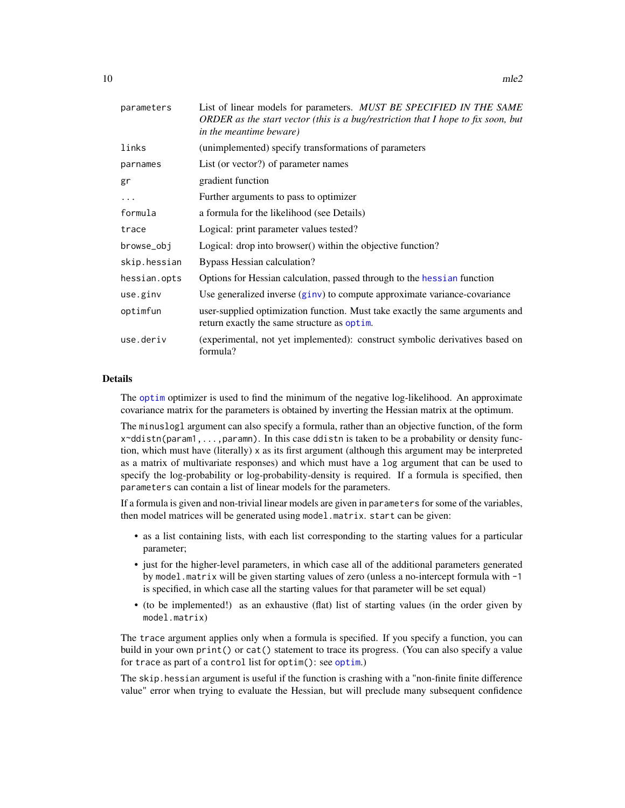<span id="page-9-0"></span>

| parameters   | List of linear models for parameters. MUST BE SPECIFIED IN THE SAME<br>ORDER as the start vector (this is a bug/restriction that I hope to fix soon, but<br>in the meantime beware) |
|--------------|-------------------------------------------------------------------------------------------------------------------------------------------------------------------------------------|
| links        | (unimplemented) specify transformations of parameters                                                                                                                               |
| parnames     | List (or vector?) of parameter names                                                                                                                                                |
| gr           | gradient function                                                                                                                                                                   |
| .            | Further arguments to pass to optimizer                                                                                                                                              |
| formula      | a formula for the likelihood (see Details)                                                                                                                                          |
| trace        | Logical: print parameter values tested?                                                                                                                                             |
| browse_obj   | Logical: drop into browser() within the objective function?                                                                                                                         |
| skip.hessian | Bypass Hessian calculation?                                                                                                                                                         |
| hessian.opts | Options for Hessian calculation, passed through to the hessian function                                                                                                             |
| use.ginv     | Use generalized inverse (ginv) to compute approximate variance-covariance                                                                                                           |
| optimfun     | user-supplied optimization function. Must take exactly the same arguments and<br>return exactly the same structure as optim.                                                        |
| use.deriv    | (experimental, not yet implemented): construct symbolic derivatives based on<br>formula?                                                                                            |

#### Details

The [optim](#page-0-0) optimizer is used to find the minimum of the negative log-likelihood. An approximate covariance matrix for the parameters is obtained by inverting the Hessian matrix at the optimum.

The minuslogl argument can also specify a formula, rather than an objective function, of the form  $x \sim d$ distn(param1,...,paramn). In this case ddistn is taken to be a probability or density function, which must have (literally) x as its first argument (although this argument may be interpreted as a matrix of multivariate responses) and which must have a log argument that can be used to specify the log-probability or log-probability-density is required. If a formula is specified, then parameters can contain a list of linear models for the parameters.

If a formula is given and non-trivial linear models are given in parameters for some of the variables, then model matrices will be generated using model.matrix. start can be given:

- as a list containing lists, with each list corresponding to the starting values for a particular parameter;
- just for the higher-level parameters, in which case all of the additional parameters generated by model.matrix will be given starting values of zero (unless a no-intercept formula with -1 is specified, in which case all the starting values for that parameter will be set equal)
- (to be implemented!) as an exhaustive (flat) list of starting values (in the order given by model.matrix)

The trace argument applies only when a formula is specified. If you specify a function, you can build in your own print() or cat() statement to trace its progress. (You can also specify a value for trace as part of a control list for [optim](#page-0-0)(): see optim.)

The skip.hessian argument is useful if the function is crashing with a "non-finite finite difference value" error when trying to evaluate the Hessian, but will preclude many subsequent confidence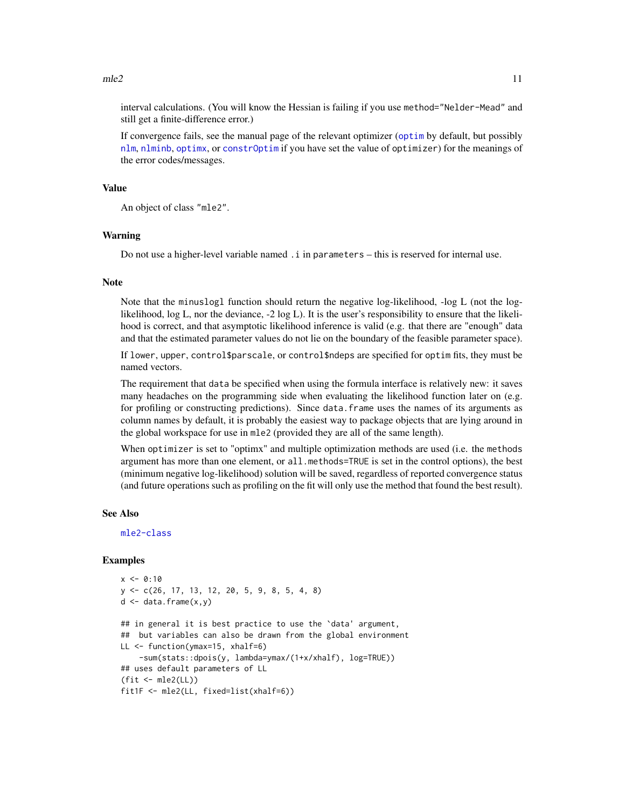<span id="page-10-0"></span>interval calculations. (You will know the Hessian is failing if you use method="Nelder-Mead" and still get a finite-difference error.)

If convergence fails, see the manual page of the relevant optimizer ([optim](#page-0-0) by default, but possibly [nlm](#page-0-0), [nlminb](#page-0-0), [optimx](#page-0-0), or [constrOptim](#page-0-0) if you have set the value of optimizer) for the meanings of the error codes/messages.

#### Value

An object of class "mle2".

#### Warning

Do not use a higher-level variable named .i in parameters – this is reserved for internal use.

#### Note

Note that the minuslogl function should return the negative log-likelihood, -log L (not the loglikelihood, log L, nor the deviance, -2 log L). It is the user's responsibility to ensure that the likelihood is correct, and that asymptotic likelihood inference is valid (e.g. that there are "enough" data and that the estimated parameter values do not lie on the boundary of the feasible parameter space).

If lower, upper, control\$parscale, or control\$ndeps are specified for optim fits, they must be named vectors.

The requirement that data be specified when using the formula interface is relatively new: it saves many headaches on the programming side when evaluating the likelihood function later on (e.g. for profiling or constructing predictions). Since data.frame uses the names of its arguments as column names by default, it is probably the easiest way to package objects that are lying around in the global workspace for use in mle2 (provided they are all of the same length).

When optimizer is set to "optimx" and multiple optimization methods are used (i.e. the methods argument has more than one element, or all.methods=TRUE is set in the control options), the best (minimum negative log-likelihood) solution will be saved, regardless of reported convergence status (and future operations such as profiling on the fit will only use the method that found the best result).

#### See Also

[mle2-class](#page-12-1)

```
x < -0:10y <- c(26, 17, 13, 12, 20, 5, 9, 8, 5, 4, 8)
d \leq - data.frame(x, y)## in general it is best practice to use the `data' argument,
## but variables can also be drawn from the global environment
LL <- function(ymax=15, xhalf=6)
    -sum(stats::dpois(y, lambda=ymax/(1+x/xhalf), log=TRUE))
## uses default parameters of LL
(fit <- mle2(LL))
fit1F <- mle2(LL, fixed=list(xhalf=6))
```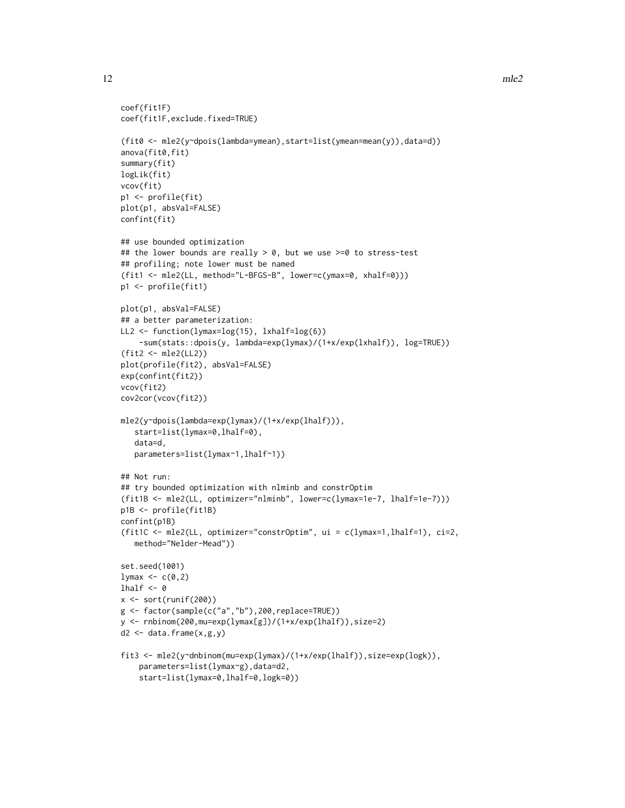```
coef(fit1F)
coef(fit1F,exclude.fixed=TRUE)
(fit0 <- mle2(y~dpois(lambda=ymean),start=list(ymean=mean(y)),data=d))
anova(fit0,fit)
summary(fit)
logLik(fit)
vcov(fit)
p1 <- profile(fit)
plot(p1, absVal=FALSE)
confint(fit)
## use bounded optimization
## the lower bounds are really > 0, but we use >= 0 to stress-test
## profiling; note lower must be named
(fit1 <- mle2(LL, method="L-BFGS-B", lower=c(ymax=0, xhalf=0)))
p1 <- profile(fit1)
plot(p1, absVal=FALSE)
## a better parameterization:
LL2 <- function(lymax=log(15), lxhalf=log(6))
    -sum(stats::dpois(y, lambda=exp(lymax)/(1+x/exp(lxhalf)), log=TRUE))
(fit2 <- mle2(LL2))
plot(profile(fit2), absVal=FALSE)
exp(confint(fit2))
vcov(fit2)
cov2cor(vcov(fit2))
mle2(y~dpois(lambda=exp(lymax)/(1+x/exp(lhalf))),
   start=list(lymax=0,lhalf=0),
   data=d,
   parameters=list(lymax~1,lhalf~1))
## Not run:
## try bounded optimization with nlminb and constrOptim
(fit1B <- mle2(LL, optimizer="nlminb", lower=c(lymax=1e-7, lhalf=1e-7)))
p1B <- profile(fit1B)
confint(p1B)
(fit1C <- mle2(LL, optimizer="constrOptim", ui = c(lymax=1,lhalf=1), ci=2,
   method="Nelder-Mead"))
set.seed(1001)
lymax \leq c(0,2)lhalf <-0x \leftarrow sort(runif(200))g <- factor(sample(c("a","b"),200,replace=TRUE))
y <- rnbinom(200,mu=exp(lymax[g])/(1+x/exp(lhalf)),size=2)
d2 \leq data.frame(x, g, y)fit3 <- mle2(y~dnbinom(mu=exp(lymax)/(1+x/exp(lhalf)),size=exp(logk)),
    parameters=list(lymax~g),data=d2,
```

```
start=list(lymax=0,lhalf=0,logk=0))
```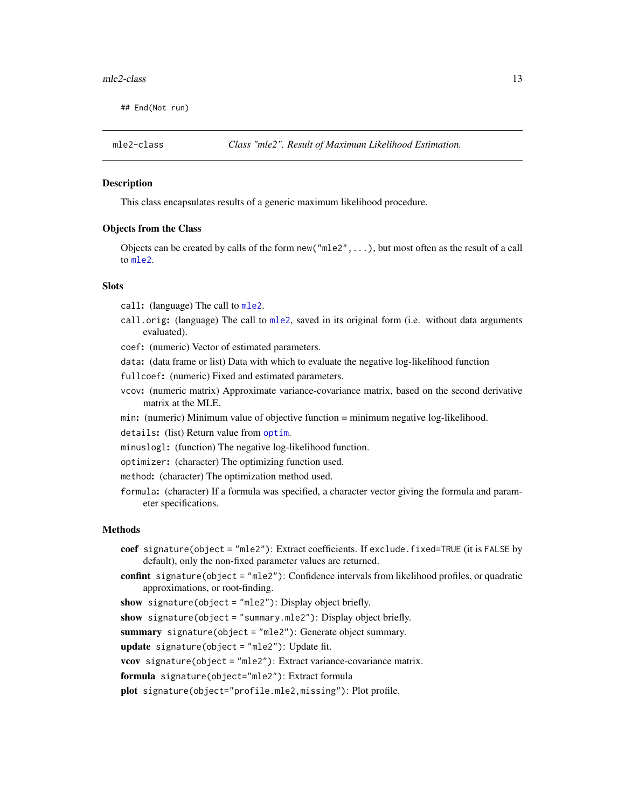#### <span id="page-12-0"></span> $mle2-class$  13

## End(Not run)

<span id="page-12-1"></span>

#### **Description**

This class encapsulates results of a generic maximum likelihood procedure.

#### Objects from the Class

Objects can be created by calls of the form new("mle2",...), but most often as the result of a call to [mle2](#page-8-1).

# **Slots**

call: (language) The call to [mle2](#page-8-1).

- call.orig: (language) The call to [mle2](#page-8-1), saved in its original form (i.e. without data arguments evaluated).
- coef: (numeric) Vector of estimated parameters.
- data: (data frame or list) Data with which to evaluate the negative log-likelihood function
- fullcoef: (numeric) Fixed and estimated parameters.
- vcov: (numeric matrix) Approximate variance-covariance matrix, based on the second derivative matrix at the MLE.
- min: (numeric) Minimum value of objective function = minimum negative log-likelihood.

details: (list) Return value from [optim](#page-0-0).

- minuslogl: (function) The negative log-likelihood function.
- optimizer: (character) The optimizing function used.
- method: (character) The optimization method used.
- formula: (character) If a formula was specified, a character vector giving the formula and parameter specifications.

#### Methods

- coef signature(object = "mle2"): Extract coefficients. If exclude.fixed=TRUE (it is FALSE by default), only the non-fixed parameter values are returned.
- confint signature(object = "mle2"): Confidence intervals from likelihood profiles, or quadratic approximations, or root-finding.
- show signature(object = "mle2"): Display object briefly.

show signature(object = "summary.mle2"): Display object briefly.

summary signature(object = "mle2"): Generate object summary.

update signature(object = "mle2"): Update fit.

vcov signature(object = "mle2"): Extract variance-covariance matrix.

formula signature(object="mle2"): Extract formula

plot signature(object="profile.mle2,missing"): Plot profile.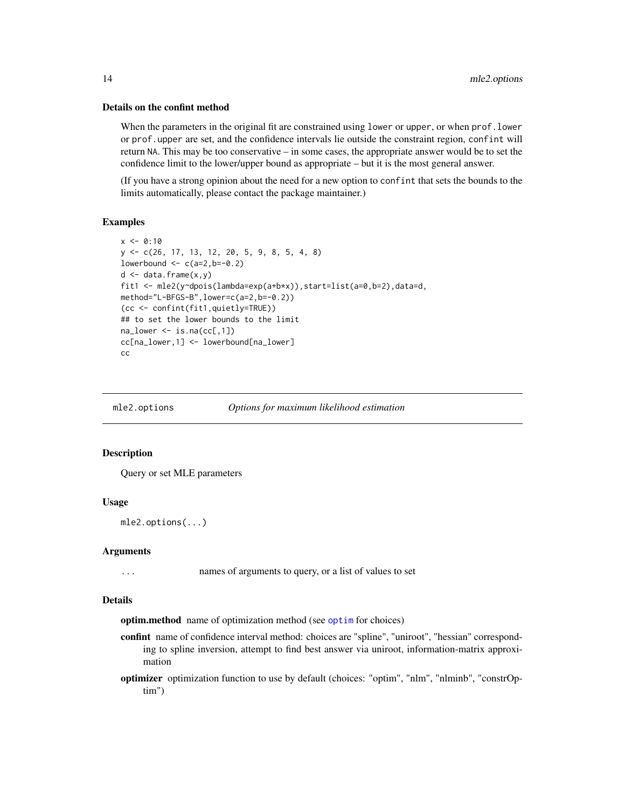#### Details on the confint method

When the parameters in the original fit are constrained using lower or upper, or when prof. lower or prof.upper are set, and the confidence intervals lie outside the constraint region, confint will return NA. This may be too conservative – in some cases, the appropriate answer would be to set the confidence limit to the lower/upper bound as appropriate – but it is the most general answer.

(If you have a strong opinion about the need for a new option to confint that sets the bounds to the limits automatically, please contact the package maintainer.)

#### Examples

```
x < -0:10y <- c(26, 17, 13, 12, 20, 5, 9, 8, 5, 4, 8)
lowerbound \leq c(a=2,b=-0.2)
d \leq - data.frame(x, y)fit1 <- mle2(y~dpois(lambda=exp(a+b*x)),start=list(a=0,b=2),data=d,
method="L-BFGS-B",lower=c(a=2,b=-0.2))
(cc <- confint(fit1,quietly=TRUE))
## to set the lower bounds to the limit
na_lower \leftarrow is.na(cc[,1])cc[na_lower,1] <- lowerbound[na_lower]
cc
```
mle2.options *Options for maximum likelihood estimation*

# Description

Query or set MLE parameters

#### Usage

```
mle2.options(...)
```
#### Arguments

... names of arguments to query, or a list of values to set

#### Details

optim.method name of optimization method (see [optim](#page-0-0) for choices)

- confint name of confidence interval method: choices are "spline", "uniroot", "hessian" corresponding to spline inversion, attempt to find best answer via uniroot, information-matrix approximation
- optimizer optimization function to use by default (choices: "optim", "nlm", "nlminb", "constrOptim")

<span id="page-13-0"></span>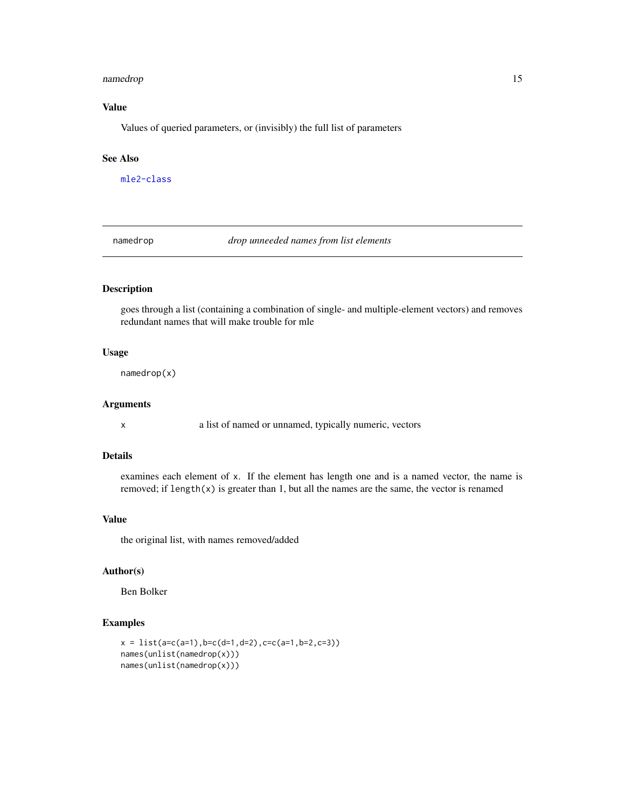#### <span id="page-14-0"></span>namedrop 15

# Value

Values of queried parameters, or (invisibly) the full list of parameters

#### See Also

[mle2-class](#page-12-1)

namedrop *drop unneeded names from list elements*

# Description

goes through a list (containing a combination of single- and multiple-element vectors) and removes redundant names that will make trouble for mle

### Usage

namedrop(x)

#### Arguments

x a list of named or unnamed, typically numeric, vectors

#### Details

examines each element of x. If the element has length one and is a named vector, the name is removed; if length $(x)$  is greater than 1, but all the names are the same, the vector is renamed

#### Value

the original list, with names removed/added

# Author(s)

Ben Bolker

```
x = list(a=c(a=1), b=c(d=1, d=2), c=c(a=1, b=2, c=3))names(unlist(namedrop(x)))
names(unlist(namedrop(x)))
```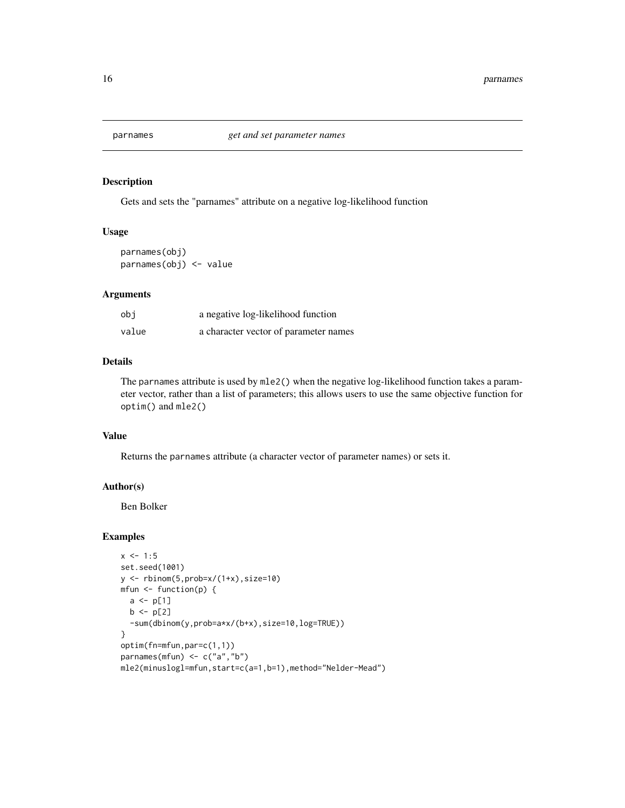<span id="page-15-1"></span><span id="page-15-0"></span>

Gets and sets the "parnames" attribute on a negative log-likelihood function

#### Usage

parnames(obj) parnames(obj) <- value

# Arguments

| obi   | a negative log-likelihood function    |
|-------|---------------------------------------|
| value | a character vector of parameter names |

# Details

The parnames attribute is used by mle2() when the negative log-likelihood function takes a parameter vector, rather than a list of parameters; this allows users to use the same objective function for optim() and mle2()

#### Value

Returns the parnames attribute (a character vector of parameter names) or sets it.

#### Author(s)

Ben Bolker

```
x \le -1:5set.seed(1001)
y <- rbinom(5,prob=x/(1+x),size=10)
mfun <- function(p) {
  a \leq p[1]b \leq -p[2]-sum(dbinom(y,prob=a*x/(b+x),size=10,log=TRUE))
}
optim(fn=mfun,par=c(1,1))
parnames(mfun) <- c("a","b")
mle2(minuslogl=mfun,start=c(a=1,b=1),method="Nelder-Mead")
```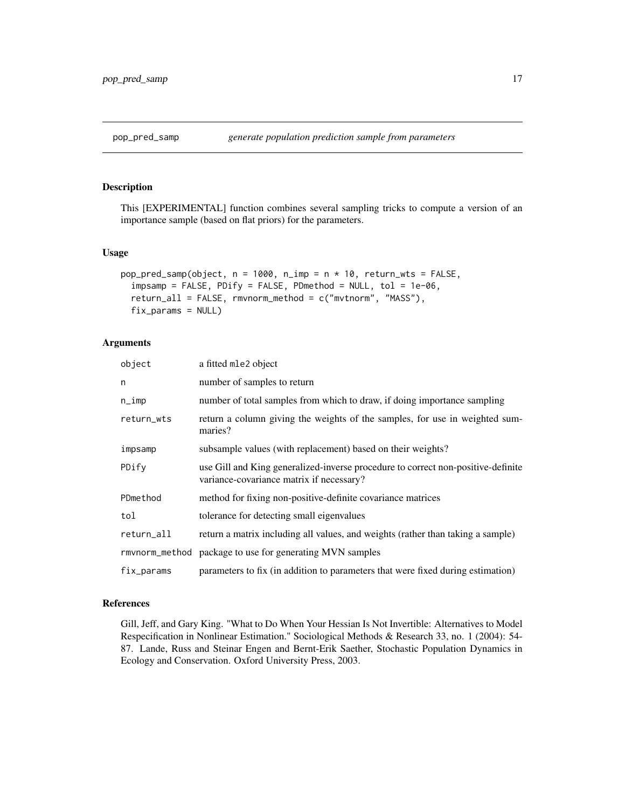<span id="page-16-0"></span>

This [EXPERIMENTAL] function combines several sampling tricks to compute a version of an importance sample (based on flat priors) for the parameters.

#### Usage

```
pop_pred_samp(object, n = 1000, n_imp = n \times 10, return_wts = FALSE,
  impsamp = FALSE, PDify = FALSE, PDmethod = NULL, tol = 1e-06,
  return_all = FALSE, rmvnorm_method = c("mvtnorm", "MASS"),
  fix_params = NULL)
```
# Arguments

| object     | a fitted mle2 object                                                                                                         |
|------------|------------------------------------------------------------------------------------------------------------------------------|
| n          | number of samples to return                                                                                                  |
| $n$ _imp   | number of total samples from which to draw, if doing importance sampling                                                     |
| return_wts | return a column giving the weights of the samples, for use in weighted sum-<br>maries?                                       |
| impsamp    | subsample values (with replacement) based on their weights?                                                                  |
| PDify      | use Gill and King generalized-inverse procedure to correct non-positive-definite<br>variance-covariance matrix if necessary? |
| PDmethod   | method for fixing non-positive-definite covariance matrices                                                                  |
| tol        | tolerance for detecting small eigenvalues                                                                                    |
| return_all | return a matrix including all values, and weights (rather than taking a sample)                                              |
|            | rmvnorm_method package to use for generating MVN samples                                                                     |
| fix_params | parameters to fix (in addition to parameters that were fixed during estimation)                                              |

#### References

Gill, Jeff, and Gary King. "What to Do When Your Hessian Is Not Invertible: Alternatives to Model Respecification in Nonlinear Estimation." Sociological Methods & Research 33, no. 1 (2004): 54- 87. Lande, Russ and Steinar Engen and Bernt-Erik Saether, Stochastic Population Dynamics in Ecology and Conservation. Oxford University Press, 2003.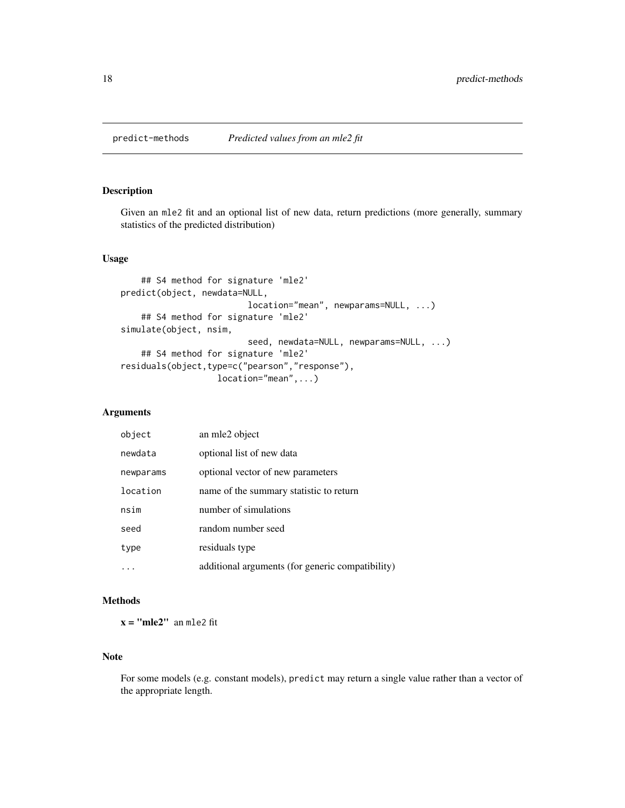<span id="page-17-0"></span>

Given an mle2 fit and an optional list of new data, return predictions (more generally, summary statistics of the predicted distribution)

# Usage

```
## S4 method for signature 'mle2'
predict(object, newdata=NULL,
                         location="mean", newparams=NULL, ...)
    ## S4 method for signature 'mle2'
simulate(object, nsim,
                         seed, newdata=NULL, newparams=NULL, ...)
    ## S4 method for signature 'mle2'
residuals(object,type=c("pearson","response"),
                   location="mean",...)
```
#### Arguments

| object    | an mle2 object                                   |
|-----------|--------------------------------------------------|
| newdata   | optional list of new data                        |
| newparams | optional vector of new parameters                |
| location  | name of the summary statistic to return          |
| nsim      | number of simulations                            |
| seed      | random number seed                               |
| type      | residuals type                                   |
|           | additional arguments (for generic compatibility) |

# Methods

 $x = "mle2"$  an mle2 fit

# Note

For some models (e.g. constant models), predict may return a single value rather than a vector of the appropriate length.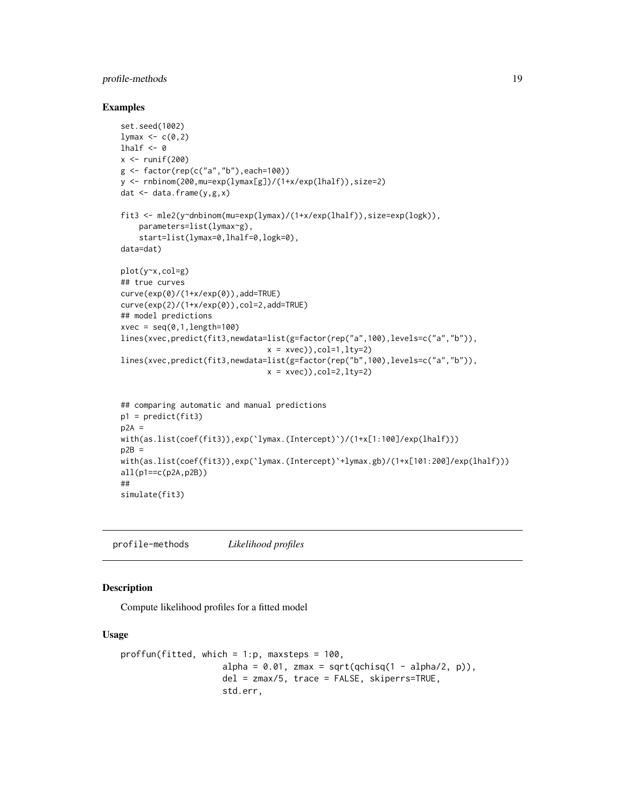# <span id="page-18-0"></span>profile-methods 19

#### Examples

```
set.seed(1002)
1ymax \leq -c(0,2)lhalf <-0x \leftarrow runif(200)g <- factor(rep(c("a","b"),each=100))
y <- rnbinom(200,mu=exp(lymax[g])/(1+x/exp(lhalf)),size=2)
dat \leq data.frame(y,g,x)
fit3 <- mle2(y~dnbinom(mu=exp(lymax)/(1+x/exp(lhalf)),size=exp(logk)),
    parameters=list(lymax~g),
    start=list(lymax=0,lhalf=0,logk=0),
data=dat)
plot(y~x,col=g)
## true curves
curve(exp(0)/(1+x/exp(0)),add=TRUE)
curve(exp(2)/(1+x/exp(0)),col=2,add=TRUE)
## model predictions
xvec = seq(0, 1, length=100)lines(xvec,predict(fit3,newdata=list(g=factor(rep("a",100),levels=c("a","b")),
                                x = xvec), col=1, lty=2lines(xvec,predict(fit3,newdata=list(g=factor(rep("b",100),levels=c("a","b")),
                                x = x \vee e), col=2, lty=2## comparing automatic and manual predictions
p1 = predict(fit3)
p2A =with(as.list(coef(fit3)),exp(`lymax.(Intercept)`)/(1+x[1:100]/exp(lhalf)))
p2B =with(as.list(coef(fit3)),exp(`lymax.(Intercept)`+lymax.gb)/(1+x[101:200]/exp(lhalf)))
all(p1 == c(p2A, p2B))##
simulate(fit3)
```
<span id="page-18-1"></span>profile-methods *Likelihood profiles*

## <span id="page-18-2"></span>Description

Compute likelihood profiles for a fitted model

#### Usage

```
proffun(fitted, which = 1:p, maxsteps = 100,
                    alpha = 0.01, zmax = sqrt(qchisq(1 - alpha/2, p)),
                    del = zmax/5, trace = FALSE, skiperrs=TRUE,
                    std.err,
```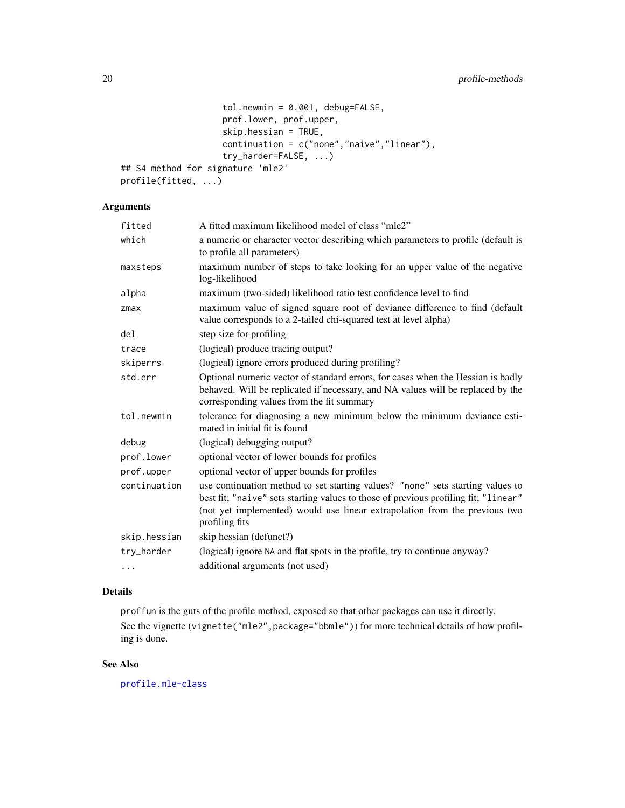```
tol.newmin = 0.001, debug=FALSE,
                    prof.lower, prof.upper,
                    skip.hessian = TRUE,
                    continuation = c("none","naive","linear"),
                    try_harder=FALSE, ...)
## S4 method for signature 'mle2'
profile(fitted, ...)
```
# Arguments

| fitted       | A fitted maximum likelihood model of class "mle2"                                                                                                                                                                                                                     |
|--------------|-----------------------------------------------------------------------------------------------------------------------------------------------------------------------------------------------------------------------------------------------------------------------|
| which        | a numeric or character vector describing which parameters to profile (default is<br>to profile all parameters)                                                                                                                                                        |
| maxsteps     | maximum number of steps to take looking for an upper value of the negative<br>log-likelihood                                                                                                                                                                          |
| alpha        | maximum (two-sided) likelihood ratio test confidence level to find                                                                                                                                                                                                    |
| $z$ ma $x$   | maximum value of signed square root of deviance difference to find (default<br>value corresponds to a 2-tailed chi-squared test at level alpha)                                                                                                                       |
| del          | step size for profiling                                                                                                                                                                                                                                               |
| trace        | (logical) produce tracing output?                                                                                                                                                                                                                                     |
| skiperrs     | (logical) ignore errors produced during profiling?                                                                                                                                                                                                                    |
| std.err      | Optional numeric vector of standard errors, for cases when the Hessian is badly<br>behaved. Will be replicated if necessary, and NA values will be replaced by the<br>corresponding values from the fit summary                                                       |
| tol.newmin   | tolerance for diagnosing a new minimum below the minimum deviance esti-<br>mated in initial fit is found                                                                                                                                                              |
| debug        | (logical) debugging output?                                                                                                                                                                                                                                           |
| prof.lower   | optional vector of lower bounds for profiles                                                                                                                                                                                                                          |
| prof.upper   | optional vector of upper bounds for profiles                                                                                                                                                                                                                          |
| continuation | use continuation method to set starting values? "none" sets starting values to<br>best fit; "naive" sets starting values to those of previous profiling fit; "linear"<br>(not yet implemented) would use linear extrapolation from the previous two<br>profiling fits |
| skip.hessian | skip hessian (defunct?)                                                                                                                                                                                                                                               |
| try_harder   | (logical) ignore NA and flat spots in the profile, try to continue anyway?                                                                                                                                                                                            |
| $\cdots$     | additional arguments (not used)                                                                                                                                                                                                                                       |

# Details

proffun is the guts of the profile method, exposed so that other packages can use it directly. See the vignette (vignette("mle2",package="bbmle")) for more technical details of how profil-

ing is done.

# See Also

[profile.mle-class](#page-0-0)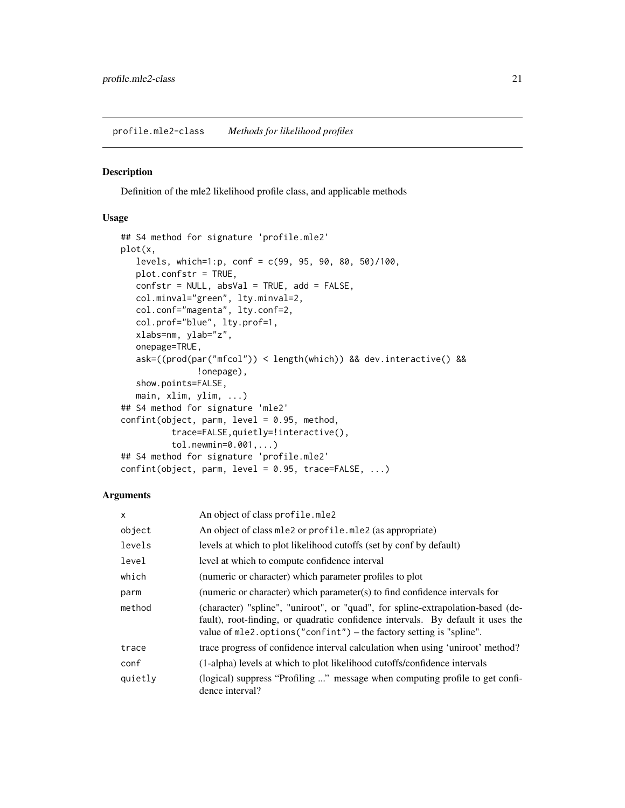<span id="page-20-1"></span><span id="page-20-0"></span>profile.mle2-class *Methods for likelihood profiles*

#### Description

Definition of the mle2 likelihood profile class, and applicable methods

#### Usage

```
## S4 method for signature 'profile.mle2'
plot(x,
   levels, which=1:p, conf = c(99, 95, 90, 80, 50)/100,
   plot.confstr = TRUE,
   confstr = NULL, absVal = TRUE, add = FALSE,
   col.minval="green", lty.minval=2,
   col.conf="magenta", lty.conf=2,
   col.prof="blue", lty.prof=1,
   xlabs=nm, ylab="z",
   onepage=TRUE,
   ask=((prod(par("mfcol")) < length(which)) && dev.interactive() &&
               !onepage),
   show.points=FALSE,
   main, xlim, ylim, ...)
## S4 method for signature 'mle2'
confint(object, parm, level = 0.95, method,
          trace=FALSE,quietly=!interactive(),
          tol.newmin=0.001,...)
## S4 method for signature 'profile.mle2'
confint(object, parm, level = 0.95, trace=FALSE, ...)
```
#### Arguments

| $\times$ | An object of class profile.mle2                                                                                                                                                                                                               |
|----------|-----------------------------------------------------------------------------------------------------------------------------------------------------------------------------------------------------------------------------------------------|
| object   | An object of class mle2 or profile.mle2 (as appropriate)                                                                                                                                                                                      |
| levels   | levels at which to plot likelihood cutoffs (set by conf by default)                                                                                                                                                                           |
| level    | level at which to compute confidence interval                                                                                                                                                                                                 |
| which    | (numeric or character) which parameter profiles to plot                                                                                                                                                                                       |
| parm     | (numeric or character) which parameter(s) to find confidence intervals for                                                                                                                                                                    |
| method   | (character) "spline", "uniroot", or "quad", for spline-extrapolation-based (de-<br>fault), root-finding, or quadratic confidence intervals. By default it uses the<br>value of $mle2.$ options ("confint") – the factory setting is "spline". |
| trace    | trace progress of confidence interval calculation when using 'uniroot' method?                                                                                                                                                                |
| conf     | (1-alpha) levels at which to plot likelihood cutoffs/confidence intervals                                                                                                                                                                     |
| quietly  | (logical) suppress "Profiling " message when computing profile to get confi-<br>dence interval?                                                                                                                                               |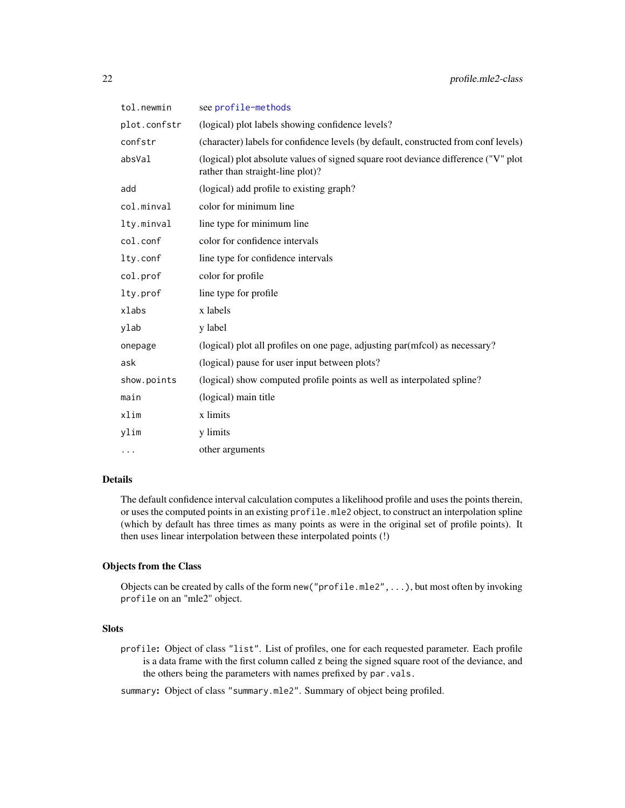| tol.newmin   | see profile-methods                                                                                                    |
|--------------|------------------------------------------------------------------------------------------------------------------------|
| plot.confstr | (logical) plot labels showing confidence levels?                                                                       |
| confstr      | (character) labels for confidence levels (by default, constructed from conf levels)                                    |
| absVal       | (logical) plot absolute values of signed square root deviance difference ("V" plot<br>rather than straight-line plot)? |
| add          | (logical) add profile to existing graph?                                                                               |
| col.minval   | color for minimum line                                                                                                 |
| lty.minval   | line type for minimum line                                                                                             |
| col.conf     | color for confidence intervals                                                                                         |
| lty.conf     | line type for confidence intervals                                                                                     |
| col.prof     | color for profile                                                                                                      |
| lty.prof     | line type for profile                                                                                                  |
| xlabs        | x labels                                                                                                               |
| ylab         | y label                                                                                                                |
| onepage      | (logical) plot all profiles on one page, adjusting par(mfcol) as necessary?                                            |
| ask          | (logical) pause for user input between plots?                                                                          |
| show.points  | (logical) show computed profile points as well as interpolated spline?                                                 |
| main         | (logical) main title                                                                                                   |
| xlim         | x limits                                                                                                               |
| ylim         | y limits                                                                                                               |
| $\cdots$     | other arguments                                                                                                        |

#### Details

The default confidence interval calculation computes a likelihood profile and uses the points therein, or uses the computed points in an existing profile.mle2 object, to construct an interpolation spline (which by default has three times as many points as were in the original set of profile points). It then uses linear interpolation between these interpolated points (!)

# Objects from the Class

Objects can be created by calls of the form new ("profile.mle2", ...), but most often by invoking profile on an "mle2" object.

# Slots

profile: Object of class "list". List of profiles, one for each requested parameter. Each profile is a data frame with the first column called z being the signed square root of the deviance, and the others being the parameters with names prefixed by par.vals.

summary: Object of class "summary.mle2". Summary of object being profiled.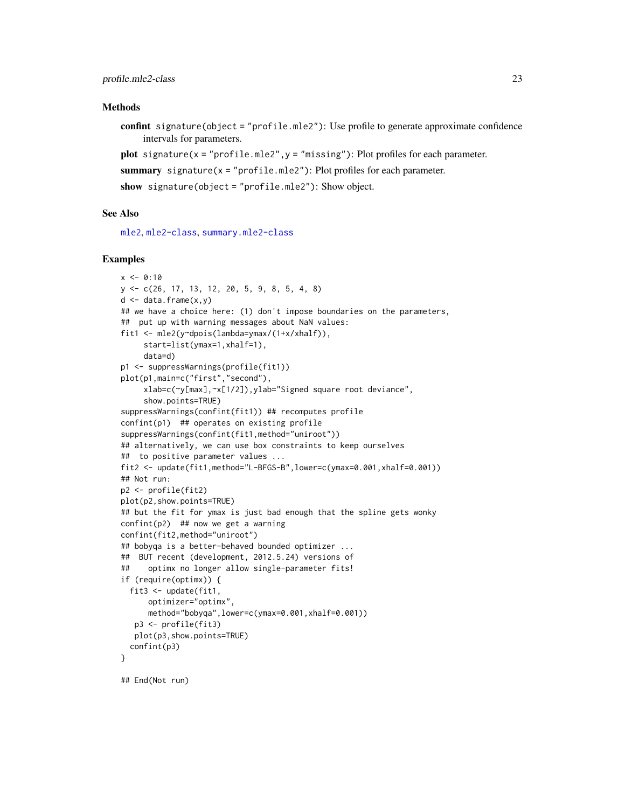#### <span id="page-22-0"></span>Methods

confint signature(object = "profile.mle2"): Use profile to generate approximate confidence intervals for parameters.

plot signature( $x = "profile.mle2", y = "missing"$ ): Plot profiles for each parameter.

summary signature( $x = "profile.mle2"$ ): Plot profiles for each parameter.

show signature(object = "profile.mle2"): Show object.

#### See Also

[mle2](#page-8-1), [mle2-class](#page-12-1), [summary.mle2-class](#page-29-1)

#### Examples

```
x \le -0.10y <- c(26, 17, 13, 12, 20, 5, 9, 8, 5, 4, 8)
d \leq data.frame(x, y)## we have a choice here: (1) don't impose boundaries on the parameters,
## put up with warning messages about NaN values:
fit1 <- mle2(y~dpois(lambda=ymax/(1+x/xhalf)),
     start=list(ymax=1,xhalf=1),
     data=d)
p1 <- suppressWarnings(profile(fit1))
plot(p1,main=c("first","second"),
     xlab=c(~y[max],~x[1/2]),ylab="Signed square root deviance",
     show.points=TRUE)
suppressWarnings(confint(fit1)) ## recomputes profile
confint(p1) ## operates on existing profile
suppressWarnings(confint(fit1,method="uniroot"))
## alternatively, we can use box constraints to keep ourselves
## to positive parameter values ...
fit2 <- update(fit1,method="L-BFGS-B",lower=c(ymax=0.001,xhalf=0.001))
## Not run:
p2 <- profile(fit2)
plot(p2,show.points=TRUE)
## but the fit for ymax is just bad enough that the spline gets wonky
confint(p2) ## now we get a warning
confint(fit2,method="uniroot")
## bobyqa is a better-behaved bounded optimizer ...
## BUT recent (development, 2012.5.24) versions of
## optimx no longer allow single-parameter fits!
if (require(optimx)) {
  fit3 <- update(fit1,
      optimizer="optimx",
      method="bobyqa",lower=c(ymax=0.001,xhalf=0.001))
   p3 <- profile(fit3)
   plot(p3,show.points=TRUE)
  confint(p3)
}
```
## End(Not run)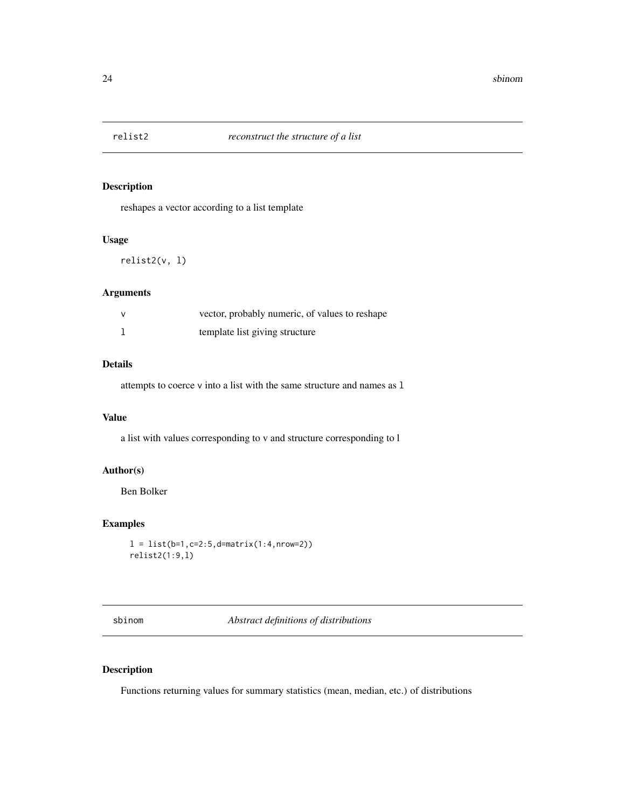<span id="page-23-0"></span>

reshapes a vector according to a list template

#### Usage

relist2(v, l)

#### Arguments

| vector, probably numeric, of values to reshape |
|------------------------------------------------|
| template list giving structure                 |

#### Details

attempts to coerce v into a list with the same structure and names as l

#### Value

a list with values corresponding to v and structure corresponding to l

# Author(s)

Ben Bolker

# Examples

```
l = list(b=1,c=2:5,d=matrix(1:4,nrow=2))
relist2(1:9,l)
```
sbinom *Abstract definitions of distributions*

# Description

Functions returning values for summary statistics (mean, median, etc.) of distributions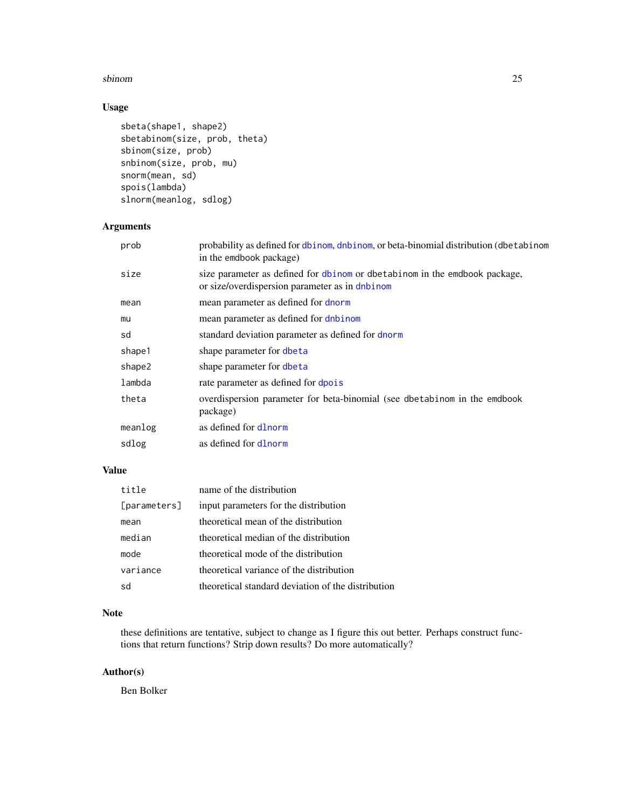#### <span id="page-24-0"></span>sbinom 25

# Usage

```
sbeta(shape1, shape2)
sbetabinom(size, prob, theta)
sbinom(size, prob)
snbinom(size, prob, mu)
snorm(mean, sd)
spois(lambda)
slnorm(meanlog, sdlog)
```
# Arguments

| prob    | probability as defined for dbinom, dnbinom, or beta-binomial distribution (dbetabinom<br>in the emdbook package)             |
|---------|------------------------------------------------------------------------------------------------------------------------------|
| size    | size parameter as defined for dbinom or dbetabinom in the emdbook package,<br>or size/overdispersion parameter as in dnbinom |
| mean    | mean parameter as defined for dnorm                                                                                          |
| mu      | mean parameter as defined for dnbinom                                                                                        |
| sd      | standard deviation parameter as defined for dnorm                                                                            |
| shape1  | shape parameter for dbeta                                                                                                    |
| shape2  | shape parameter for dbeta                                                                                                    |
| lambda  | rate parameter as defined for dpois                                                                                          |
| theta   | overdispersion parameter for beta-binomial (see dbetabinom in the emdbook<br>package)                                        |
| meanlog | as defined for dlnorm                                                                                                        |
| sdlog   | as defined for dlnorm                                                                                                        |
|         |                                                                                                                              |

# Value

| title        | name of the distribution                           |
|--------------|----------------------------------------------------|
| [parameters] | input parameters for the distribution              |
| mean         | theoretical mean of the distribution               |
| median       | theoretical median of the distribution             |
| mode         | theoretical mode of the distribution               |
| variance     | theoretical variance of the distribution           |
| sd           | theoretical standard deviation of the distribution |

# Note

these definitions are tentative, subject to change as I figure this out better. Perhaps construct functions that return functions? Strip down results? Do more automatically?

# Author(s)

Ben Bolker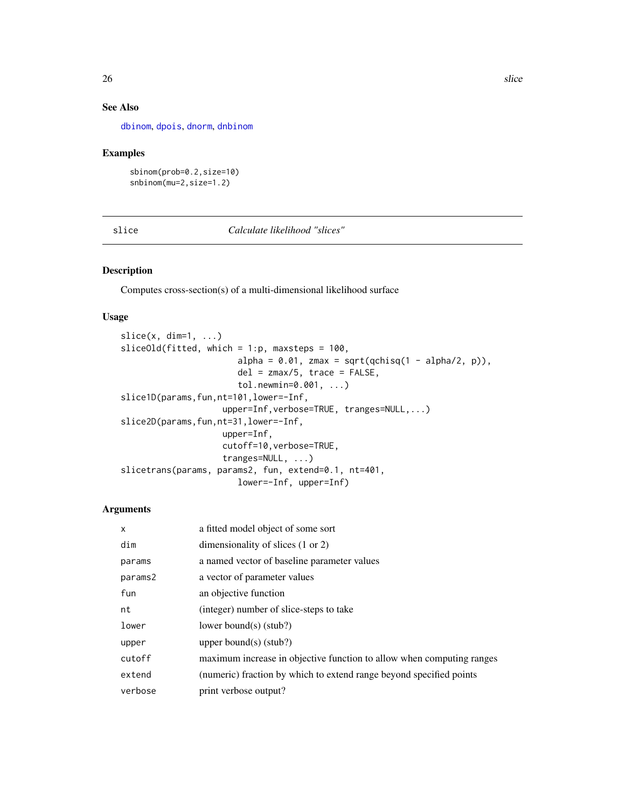# See Also

[dbinom](#page-0-0), [dpois](#page-0-0), [dnorm](#page-0-0), [dnbinom](#page-0-0)

#### Examples

```
sbinom(prob=0.2,size=10)
snbinom(mu=2,size=1.2)
```
# slice *Calculate likelihood "slices"*

# Description

Computes cross-section(s) of a multi-dimensional likelihood surface

#### Usage

```
slice(x, dim=1, \ldots)
sliceOld(fitted, which = 1:p, maxsteps = 100,
                       alpha = 0.01, zmax = sqrt(qchisq(1 - alpha/2, p)),
                       del = zmax/5, trace = FALSE,
                       tol.newmin=0.001, ...)
slice1D(params,fun,nt=101,lower=-Inf,
                    upper=Inf,verbose=TRUE, tranges=NULL,...)
slice2D(params,fun,nt=31,lower=-Inf,
                    upper=Inf,
                    cutoff=10,verbose=TRUE,
                    tranges=NULL, ...)
slicetrans(params, params2, fun, extend=0.1, nt=401,
                       lower=-Inf, upper=Inf)
```
#### Arguments

| $\mathsf{x}$ | a fitted model object of some sort                                    |
|--------------|-----------------------------------------------------------------------|
| dim          | dimensionality of slices $(1 \text{ or } 2)$                          |
| params       | a named vector of baseline parameter values                           |
| params2      | a vector of parameter values                                          |
| fun          | an objective function                                                 |
| nt           | (integer) number of slice-steps to take                               |
| lower        | lower bound(s) $(stub?)$                                              |
| upper        | upper bound(s) $(stub?)$                                              |
| cutoff       | maximum increase in objective function to allow when computing ranges |
| extend       | (numeric) fraction by which to extend range beyond specified points   |
| verbose      | print verbose output?                                                 |

<span id="page-25-0"></span>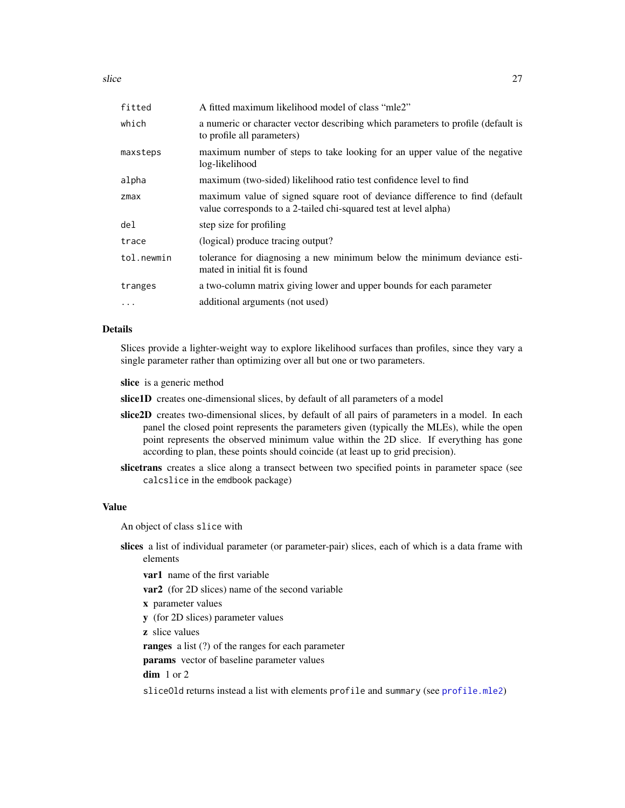<span id="page-26-0"></span>slice 27

| A fitted maximum likelihood model of class "mle2"                                                                                               |
|-------------------------------------------------------------------------------------------------------------------------------------------------|
| a numeric or character vector describing which parameters to profile (default is<br>to profile all parameters)                                  |
| maximum number of steps to take looking for an upper value of the negative<br>log-likelihood                                                    |
| maximum (two-sided) likelihood ratio test confidence level to find                                                                              |
| maximum value of signed square root of deviance difference to find (default<br>value corresponds to a 2-tailed chi-squared test at level alpha) |
| step size for profiling                                                                                                                         |
| (logical) produce tracing output?                                                                                                               |
| tolerance for diagnosing a new minimum below the minimum deviance esti-<br>mated in initial fit is found                                        |
| a two-column matrix giving lower and upper bounds for each parameter                                                                            |
| additional arguments (not used)                                                                                                                 |
|                                                                                                                                                 |

#### Details

Slices provide a lighter-weight way to explore likelihood surfaces than profiles, since they vary a single parameter rather than optimizing over all but one or two parameters.

slice is a generic method

slice1D creates one-dimensional slices, by default of all parameters of a model

- slice2D creates two-dimensional slices, by default of all pairs of parameters in a model. In each panel the closed point represents the parameters given (typically the MLEs), while the open point represents the observed minimum value within the 2D slice. If everything has gone according to plan, these points should coincide (at least up to grid precision).
- slicetrans creates a slice along a transect between two specified points in parameter space (see calcslice in the emdbook package)

# Value

An object of class slice with

slices a list of individual parameter (or parameter-pair) slices, each of which is a data frame with elements

var1 name of the first variable

var2 (for 2D slices) name of the second variable

- x parameter values
- y (for 2D slices) parameter values

z slice values

ranges a list (?) of the ranges for each parameter

params vector of baseline parameter values

dim 1 or 2

sliceOld returns instead a list with elements profile and summary (see [profile.mle2](#page-18-2))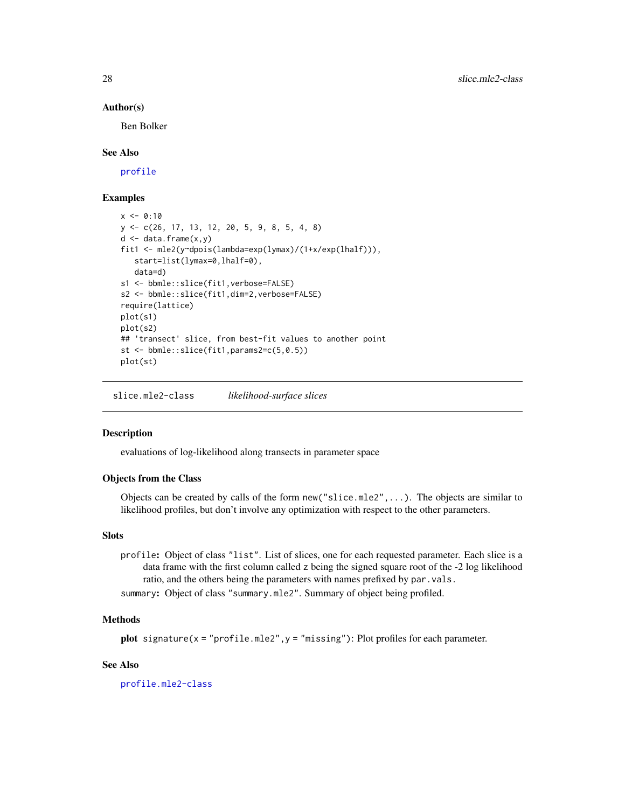#### Author(s)

Ben Bolker

#### See Also

[profile](#page-0-0)

#### Examples

```
x \le -0.10y <- c(26, 17, 13, 12, 20, 5, 9, 8, 5, 4, 8)
d \leq - data.frame(x, y)fit1 <- mle2(y~dpois(lambda=exp(lymax)/(1+x/exp(lhalf))),
   start=list(lymax=0,lhalf=0),
   data=d)
s1 <- bbmle::slice(fit1,verbose=FALSE)
s2 <- bbmle::slice(fit1,dim=2,verbose=FALSE)
require(lattice)
plot(s1)
plot(s2)
## 'transect' slice, from best-fit values to another point
st <- bbmle::slice(fit1,params2=c(5,0.5))
plot(st)
```
slice.mle2-class *likelihood-surface slices*

#### **Description**

evaluations of log-likelihood along transects in parameter space

#### Objects from the Class

Objects can be created by calls of the form new ("slice.mle2", ...). The objects are similar to likelihood profiles, but don't involve any optimization with respect to the other parameters.

#### **Slots**

profile: Object of class "list". List of slices, one for each requested parameter. Each slice is a data frame with the first column called z being the signed square root of the -2 log likelihood ratio, and the others being the parameters with names prefixed by par.vals.

summary: Object of class "summary.mle2". Summary of object being profiled.

#### Methods

```
plot signature(x = "profile.mle2",y = "missing"): Plot profiles for each parameter.
```
#### See Also

[profile.mle2-class](#page-20-1)

<span id="page-27-0"></span>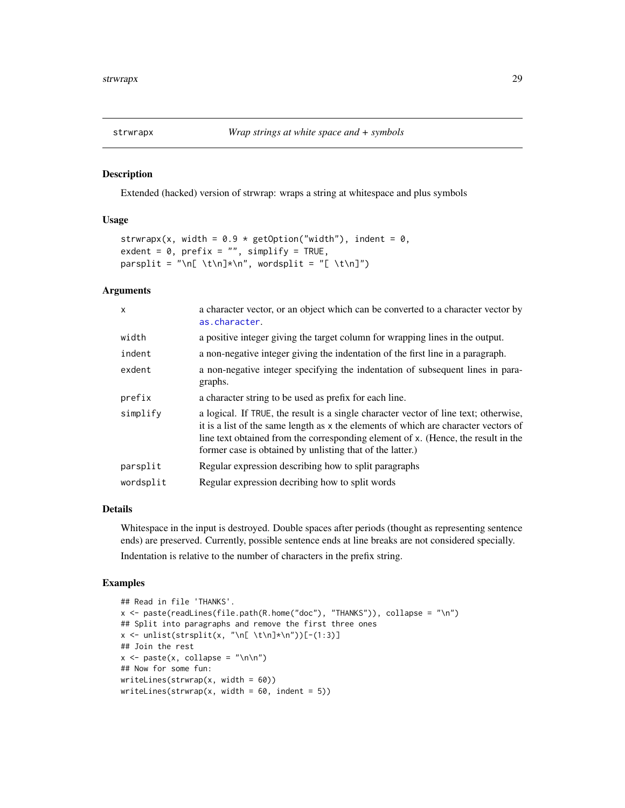<span id="page-28-0"></span>

Extended (hacked) version of strwrap: wraps a string at whitespace and plus symbols

#### Usage

```
strwrapx(x, width = 0.9 * getOption("width"), indent = 0,
exdent = 0, prefix = "", simplify = TRUE,
parsplit = "\n[ \t\n]*\n", wordsplit = "[ \t\n]")
```
#### Arguments

| $\mathsf{x}$ | a character vector, or an object which can be converted to a character vector by<br>as.character.                                                                                                                                                                                                                             |
|--------------|-------------------------------------------------------------------------------------------------------------------------------------------------------------------------------------------------------------------------------------------------------------------------------------------------------------------------------|
| width        | a positive integer giving the target column for wrapping lines in the output.                                                                                                                                                                                                                                                 |
| indent       | a non-negative integer giving the indentation of the first line in a paragraph.                                                                                                                                                                                                                                               |
| exdent       | a non-negative integer specifying the indentation of subsequent lines in para-<br>graphs.                                                                                                                                                                                                                                     |
| prefix       | a character string to be used as prefix for each line.                                                                                                                                                                                                                                                                        |
| simplify     | a logical. If TRUE, the result is a single character vector of line text; otherwise,<br>it is a list of the same length as x the elements of which are character vectors of<br>line text obtained from the corresponding element of x. (Hence, the result in the<br>former case is obtained by unlisting that of the latter.) |
| parsplit     | Regular expression describing how to split paragraphs                                                                                                                                                                                                                                                                         |
| wordsplit    | Regular expression decribing how to split words                                                                                                                                                                                                                                                                               |

#### Details

Whitespace in the input is destroyed. Double spaces after periods (thought as representing sentence ends) are preserved. Currently, possible sentence ends at line breaks are not considered specially.

Indentation is relative to the number of characters in the prefix string.

```
## Read in file 'THANKS'.
x <- paste(readLines(file.path(R.home("doc"), "THANKS")), collapse = "\n")
## Split into paragraphs and remove the first three ones
x <- unlist(strsplit(x, "\n[ \t\n]*\n"))[-(1:3)]
## Join the rest
x \leq - paste(x, collapse = "\n\n")
## Now for some fun:
writeLines(strwrap(x, width = 60))
writeLines(strwrap(x, width = 60, indent = 5))
```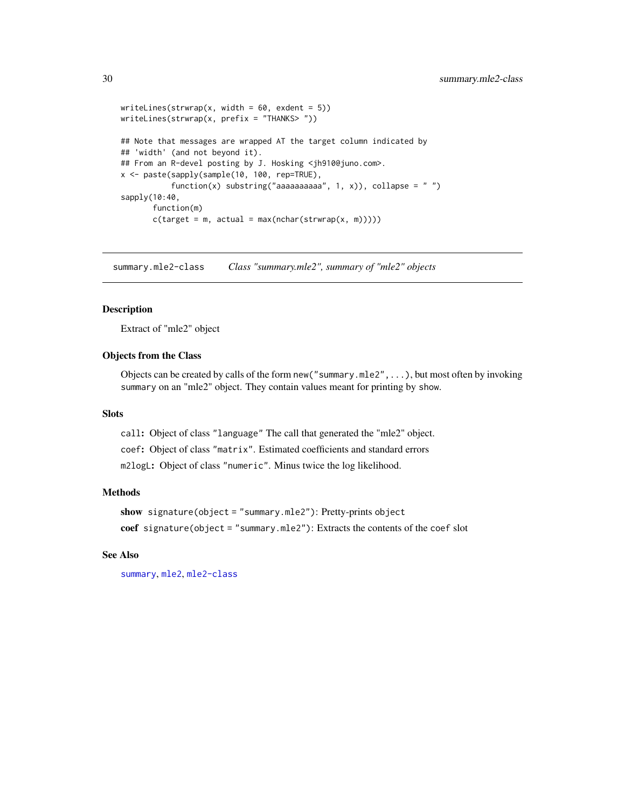```
writeLines(strwrap(x, width = 60, exdent = 5))
writeLines(strwrap(x, prefix = "THANKS> "))
## Note that messages are wrapped AT the target column indicated by
## 'width' (and not beyond it).
## From an R-devel posting by J. Hosking <jh910@juno.com>.
x <- paste(sapply(sample(10, 100, rep=TRUE),
           function(x) substring("aaaaaaaaaaa", 1, x)), collapse = " ")
sapply(10:40,
       function(m)
       c(target = m, actual = max(nchar(strwrap(x, m))))
```
<span id="page-29-1"></span>summary.mle2-class *Class "summary.mle2", summary of "mle2" objects*

#### **Description**

Extract of "mle2" object

#### Objects from the Class

Objects can be created by calls of the form new("summary.mle2",...), but most often by invoking summary on an "mle2" object. They contain values meant for printing by show.

#### **Slots**

call: Object of class "language" The call that generated the "mle2" object. coef: Object of class "matrix". Estimated coefficients and standard errors m2logL: Object of class "numeric". Minus twice the log likelihood.

#### Methods

```
show signature(object = "summary.mle2"): Pretty-prints object
coef signature(object = "summary.mle2"): Extracts the contents of the coef slot
```
# See Also

[summary](#page-0-0), [mle2](#page-8-1), [mle2-class](#page-12-1)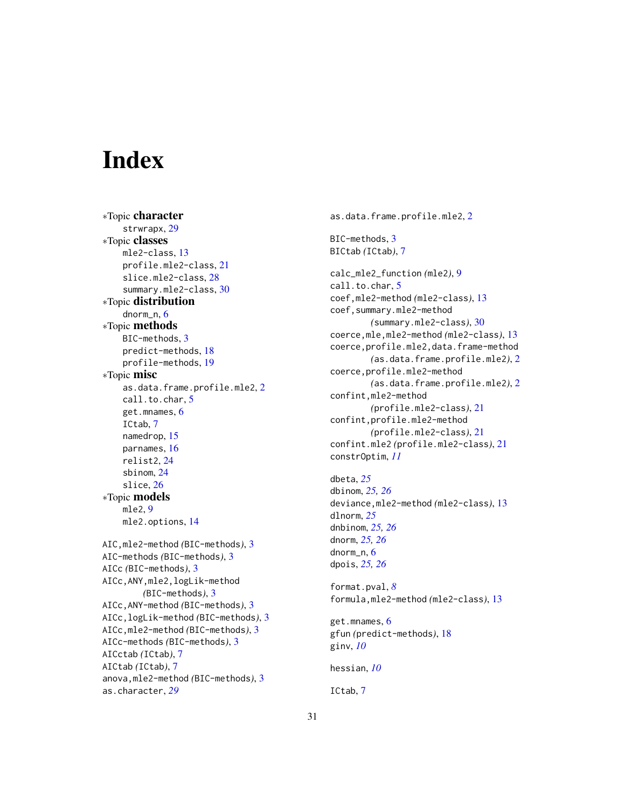# <span id="page-30-0"></span>**Index**

∗Topic character strwrapx, [29](#page-28-0) ∗Topic classes mle2-class, [13](#page-12-0) profile.mle2-class, [21](#page-20-0) slice.mle2-class, [28](#page-27-0) summary.mle2-class, [30](#page-29-0) ∗Topic distribution dnorm\_n, [6](#page-5-0) ∗Topic methods BIC-methods, [3](#page-2-0) predict-methods, [18](#page-17-0) profile-methods, [19](#page-18-0) ∗Topic misc as.data.frame.profile.mle2, [2](#page-1-0) call.to.char, [5](#page-4-0) get.mnames, [6](#page-5-0) ICtab, [7](#page-6-0) namedrop, [15](#page-14-0) parnames, [16](#page-15-0) relist2, [24](#page-23-0) sbinom, [24](#page-23-0) slice, [26](#page-25-0) ∗Topic models mle2, [9](#page-8-0) mle2.options, [14](#page-13-0) AIC,mle2-method *(*BIC-methods*)*, [3](#page-2-0) AIC-methods *(*BIC-methods*)*, [3](#page-2-0) AICc *(*BIC-methods*)*, [3](#page-2-0) AICc,ANY,mle2,logLik-method *(*BIC-methods*)*, [3](#page-2-0) AICc,ANY-method *(*BIC-methods*)*, [3](#page-2-0) AICc,logLik-method *(*BIC-methods*)*, [3](#page-2-0) AICc,mle2-method *(*BIC-methods*)*, [3](#page-2-0) AICc-methods *(*BIC-methods*)*, [3](#page-2-0) AICctab *(*ICtab*)*, [7](#page-6-0) AICtab *(*ICtab*)*, [7](#page-6-0) anova,mle2-method *(*BIC-methods*)*, [3](#page-2-0) as.character, *[29](#page-28-0)*

as.data.frame.profile.mle2, [2](#page-1-0) BIC-methods, [3](#page-2-0) BICtab *(*ICtab*)*, [7](#page-6-0) calc\_mle2\_function *(*mle2*)*, [9](#page-8-0) call.to.char, [5](#page-4-0) coef,mle2-method *(*mle2-class*)*, [13](#page-12-0) coef,summary.mle2-method *(*summary.mle2-class*)*, [30](#page-29-0) coerce,mle,mle2-method *(*mle2-class*)*, [13](#page-12-0) coerce,profile.mle2,data.frame-method *(*as.data.frame.profile.mle2*)*, [2](#page-1-0) coerce,profile.mle2-method *(*as.data.frame.profile.mle2*)*, [2](#page-1-0) confint,mle2-method *(*profile.mle2-class*)*, [21](#page-20-0) confint,profile.mle2-method *(*profile.mle2-class*)*, [21](#page-20-0) confint.mle2 *(*profile.mle2-class*)*, [21](#page-20-0) constrOptim, *[11](#page-10-0)*

dbeta, *[25](#page-24-0)* dbinom, *[25,](#page-24-0) [26](#page-25-0)* deviance,mle2-method *(*mle2-class*)*, [13](#page-12-0) dlnorm, *[25](#page-24-0)* dnbinom, *[25,](#page-24-0) [26](#page-25-0)* dnorm, *[25,](#page-24-0) [26](#page-25-0)* dnorm<sub>n</sub>. [6](#page-5-0) dpois, *[25,](#page-24-0) [26](#page-25-0)*

format.pval, *[8](#page-7-0)* formula,mle2-method *(*mle2-class*)*, [13](#page-12-0)

get.mnames, [6](#page-5-0) gfun *(*predict-methods*)*, [18](#page-17-0) ginv, *[10](#page-9-0)*

hessian, *[10](#page-9-0)*

ICtab, [7](#page-6-0)